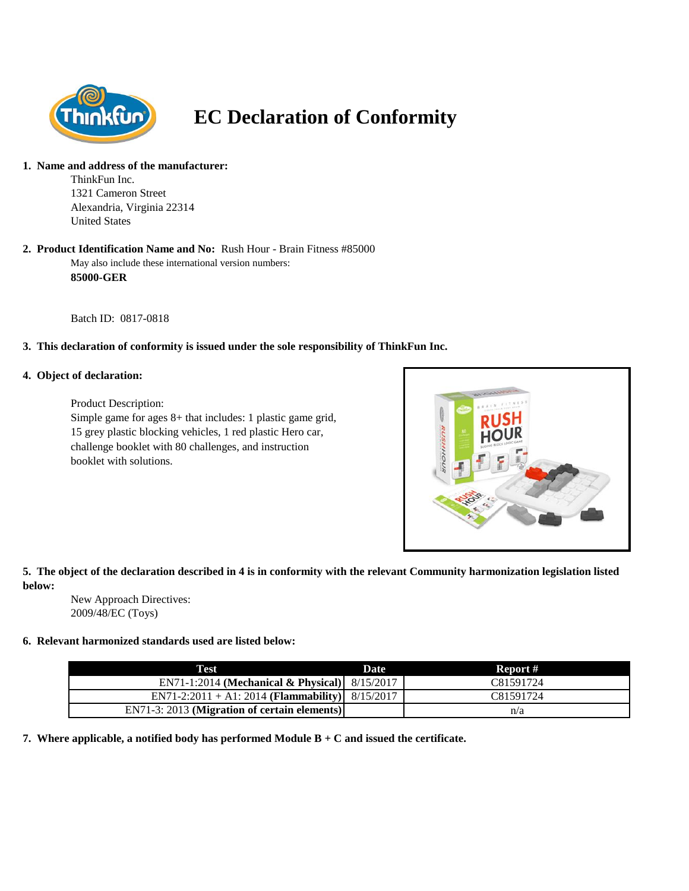

# **EC Declaration of Conformity**

#### **1. Name and address of the manufacturer:**

ThinkFun Inc. 1321 Cameron Street Alexandria, Virginia 22314 United States

#### May also include these international version numbers: **85000-GER 2. Product Identification Name and No:** Rush Hour - Brain Fitness #85000

Batch ID: 0817-0818

# **3. This declaration of conformity is issued under the sole responsibility of ThinkFun Inc.**

#### **4. Object of declaration:**

Product Description: Simple game for ages 8+ that includes: 1 plastic game grid, 15 grey plastic blocking vehicles, 1 red plastic Hero car, challenge booklet with 80 challenges, and instruction booklet with solutions.



# **5. The object of the declaration described in 4 is in conformity with the relevant Community harmonization legislation listed below:**

New Approach Directives: 2009/48/EC (Toys)

## **6. Relevant harmonized standards used are listed below:**

| Test                                                                      | <b>Date</b> | Report #  |
|---------------------------------------------------------------------------|-------------|-----------|
| EN71-1:2014 (Mechanical & Physical) $8/15/2017$                           |             | C81591724 |
| EN71-2:2011 + A1: 2014 ( <b>Flammability</b> ) $\left  8/15/2017 \right $ |             | C81591724 |
| EN71-3: 2013 (Migration of certain elements)                              |             | n/a       |

**7. Where applicable, a notified body has performed Module B + C and issued the certificate.**